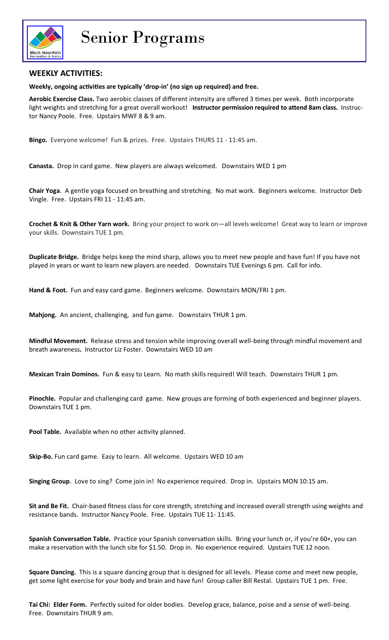

Senior Programs

## **WEEKLY ACTIVITIES:**

**Weekly, ongoing activities are typically 'drop-in' (no sign up required) and free.** 

**Aerobic Exercise Class.** Two aerobic classes of different intensity are offered 3 times per week. Both incorporate light weights and stretching for a great overall workout! **Instructor permission required to attend 8am class.** Instructor Nancy Poole. Free. Upstairs MWF 8 & 9 am.

**Bingo.** Everyone welcome! Fun & prizes. Free. Upstairs THURS 11 - 11:45 am.

**Canasta.** Drop in card game. New players are always welcomed. Downstairs WED 1 pm

**Chair Yoga**. A gentle yoga focused on breathing and stretching. No mat work. Beginners welcome. Instructor Deb Vingle. Free. Upstairs FRI 11 - 11:45 am.

**Crochet & Knit & Other Yarn work.** Bring your project to work on—all levels welcome! Great way to learn or improve your skills. Downstairs TUE 1 pm.

**Duplicate Bridge.** Bridge helps keep the mind sharp, allows you to meet new people and have fun! If you have not played in years or want to learn new players are needed. Downstairs TUE Evenings 6 pm. Call for info.

**Hand & Foot.** Fun and easy card game. Beginners welcome. Downstairs MON/FRI 1 pm.

**Mahjong.** An ancient, challenging, and fun game. Downstairs THUR 1 pm.

**Mindful Movement.** Release stress and tension while improving overall well-being through mindful movement and breath awareness**.** Instructor Liz Foster. Downstairs WED 10 am

**Mexican Train Dominos.** Fun & easy to Learn. No math skills required! Will teach. Downstairs THUR 1 pm.

**Pinochle.** Popular and challenging card game. New groups are forming of both experienced and beginner players. Downstairs TUE 1 pm.

**Pool Table.** Available when no other activity planned.

**Skip-Bo.** Fun card game. Easy to learn. All welcome. Upstairs WED 10 am

**Singing Group**. Love to sing? Come join in! No experience required. Drop in. Upstairs MON 10:15 am.

**Sit and Be Fit.** Chair-based fitness class for core strength, stretching and increased overall strength using weights and resistance bands. Instructor Nancy Poole. Free. Upstairs TUE 11- 11:45.

**Spanish Conversation Table.** Practice your Spanish conversation skills. Bring your lunch or, if you're 60+, you can make a reservation with the lunch site for \$1.50. Drop in. No experience required. Upstairs TUE 12 noon.

**Square Dancing.** This is a square dancing group that is designed for all levels. Please come and meet new people, get some light exercise for your body and brain and have fun! Group caller Bill Restal. Upstairs TUE 1 pm. Free.

**Tai Chi: Elder Form.** Perfectly suited for older bodies. Develop grace, balance, poise and a sense of well-being. Free. Downstairs THUR 9 am.